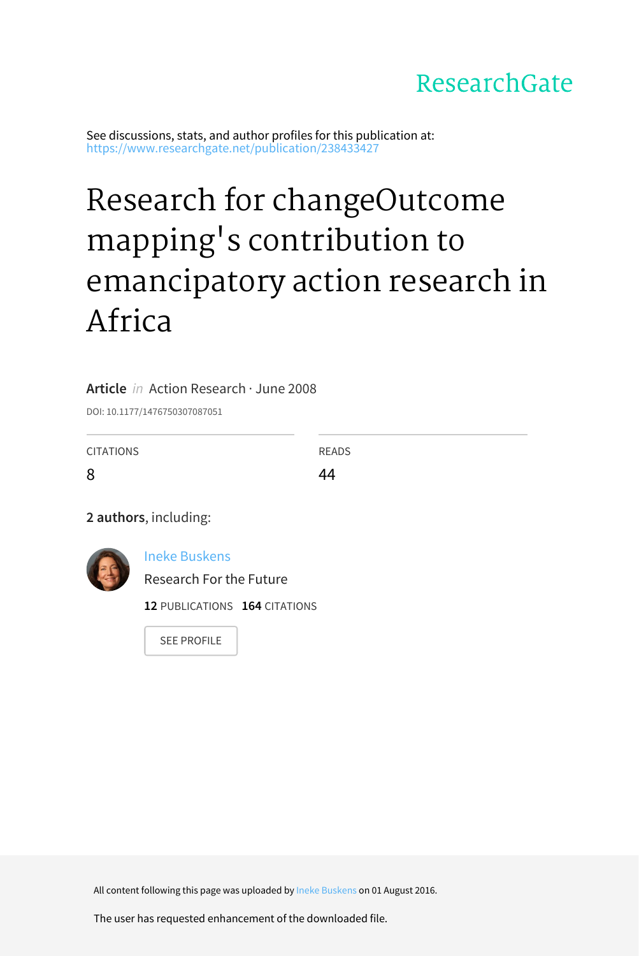# ResearchGate

See discussions, stats, and author profiles for this publication at: [https://www.researchgate.net/publication/238433427](https://www.researchgate.net/publication/238433427_Research_for_changeOutcome_mapping%27s_contribution_to_emancipatory_action_research_in_Africa?enrichId=rgreq-b6ca2ade5260f908245667af5e1ae173-XXX&enrichSource=Y292ZXJQYWdlOzIzODQzMzQyNztBUzozOTAxMDM4ODIwNTk3NzZAMTQ3MDAxOTQyMTY1NA%3D%3D&el=1_x_2&_esc=publicationCoverPdf)

# Research for [changeOutcome](https://www.researchgate.net/publication/238433427_Research_for_changeOutcome_mapping%27s_contribution_to_emancipatory_action_research_in_Africa?enrichId=rgreq-b6ca2ade5260f908245667af5e1ae173-XXX&enrichSource=Y292ZXJQYWdlOzIzODQzMzQyNztBUzozOTAxMDM4ODIwNTk3NzZAMTQ3MDAxOTQyMTY1NA%3D%3D&el=1_x_3&_esc=publicationCoverPdf) mapping's contribution to emancipatory action research in Africa

## **Article** in Action Research · June 2008

DOI: 10.1177/1476750307087051

| <b>CITATIONS</b> | <b>READS</b> |
|------------------|--------------|
| 8                | 44           |

**2 authors**, including:



Ineke [Buskens](https://www.researchgate.net/profile/Ineke_Buskens?enrichId=rgreq-b6ca2ade5260f908245667af5e1ae173-XXX&enrichSource=Y292ZXJQYWdlOzIzODQzMzQyNztBUzozOTAxMDM4ODIwNTk3NzZAMTQ3MDAxOTQyMTY1NA%3D%3D&el=1_x_5&_esc=publicationCoverPdf)

Research For the Future

**12** PUBLICATIONS **164** CITATIONS

SEE [PROFILE](https://www.researchgate.net/profile/Ineke_Buskens?enrichId=rgreq-b6ca2ade5260f908245667af5e1ae173-XXX&enrichSource=Y292ZXJQYWdlOzIzODQzMzQyNztBUzozOTAxMDM4ODIwNTk3NzZAMTQ3MDAxOTQyMTY1NA%3D%3D&el=1_x_7&_esc=publicationCoverPdf)

All content following this page was uploaded by Ineke [Buskens](https://www.researchgate.net/profile/Ineke_Buskens?enrichId=rgreq-b6ca2ade5260f908245667af5e1ae173-XXX&enrichSource=Y292ZXJQYWdlOzIzODQzMzQyNztBUzozOTAxMDM4ODIwNTk3NzZAMTQ3MDAxOTQyMTY1NA%3D%3D&el=1_x_10&_esc=publicationCoverPdf) on 01 August 2016.

The user has requested enhancement of the downloaded file.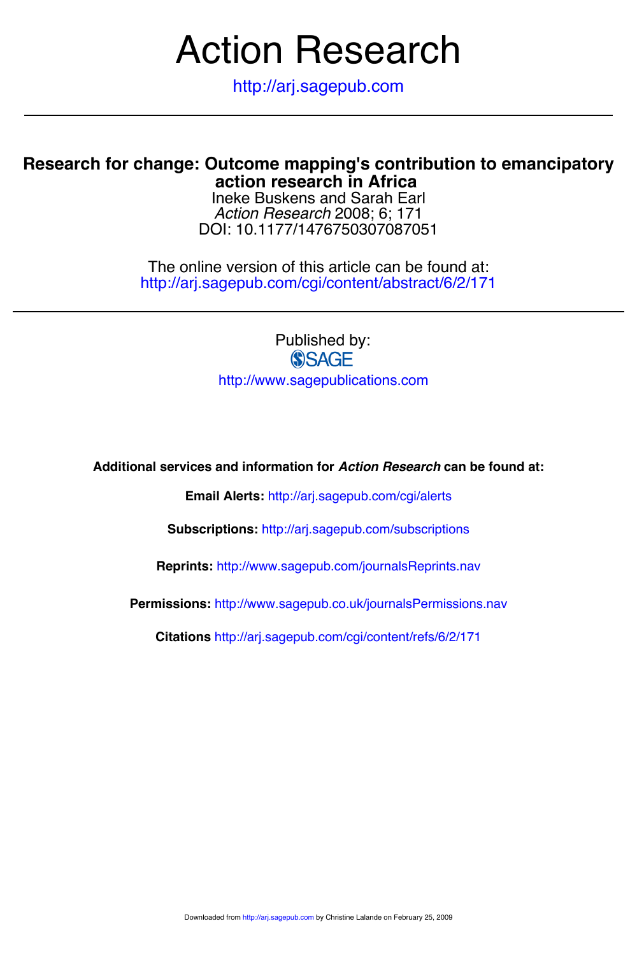# Action Research

http://arj.sagepub.com

# **action research in Africa Research for change: Outcome mapping's contribution to emancipatory**

DOI: 10.1177/1476750307087051 *Action Research* 2008; 6; 171 Ineke Buskens and Sarah Earl

http://arj.sagepub.com/cgi/content/abstract/6/2/171 The online version of this article can be found at:

> Published by:<br>
> SAGE http://www.sagepublications.com

**Additional services and information for** *Action Research* **can be found at:**

**Email Alerts:** <http://arj.sagepub.com/cgi/alerts>

**Subscriptions:** <http://arj.sagepub.com/subscriptions>

**Reprints:** <http://www.sagepub.com/journalsReprints.nav>

**Permissions:** <http://www.sagepub.co.uk/journalsPermissions.nav>

**Citations** <http://arj.sagepub.com/cgi/content/refs/6/2/171>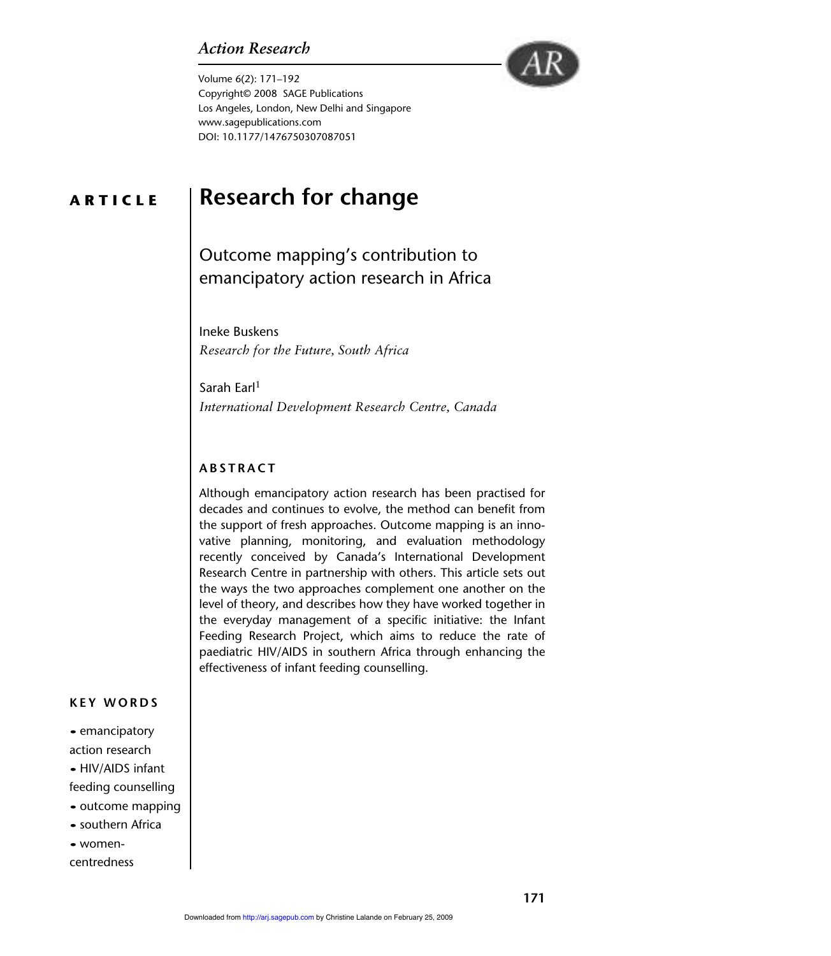# *Action Research*



Volume 6(2): 171–192 Copyright© 2008 SAGE Publications Los Angeles, London, New Delhi and Singapore www.sagepublications.com DOI: 10.1177/1476750307087051

# **ARTICLE**

# **Research for change**

Outcome mapping's contribution to emancipatory action research in Africa

Ineke Buskens *Research for the Future, South Africa*

Sarah Earl $1$ *International Development Research Centre, Canada*

# **ABSTRACT**

Although emancipatory action research has been practised for decades and continues to evolve, the method can benefit from the support of fresh approaches. Outcome mapping is an innovative planning, monitoring, and evaluation methodology recently conceived by Canada's International Development Research Centre in partnership with others. This article sets out the ways the two approaches complement one another on the level of theory, and describes how they have worked together in the everyday management of a specific initiative: the Infant Feeding Research Project, which aims to reduce the rate of paediatric HIV/AIDS in southern Africa through enhancing the effectiveness of infant feeding counselling.

#### **KEY WORDS**

• emancipatory action research • HIV/AIDS infant feeding counselling • outcome mapping • southern Africa • womencentredness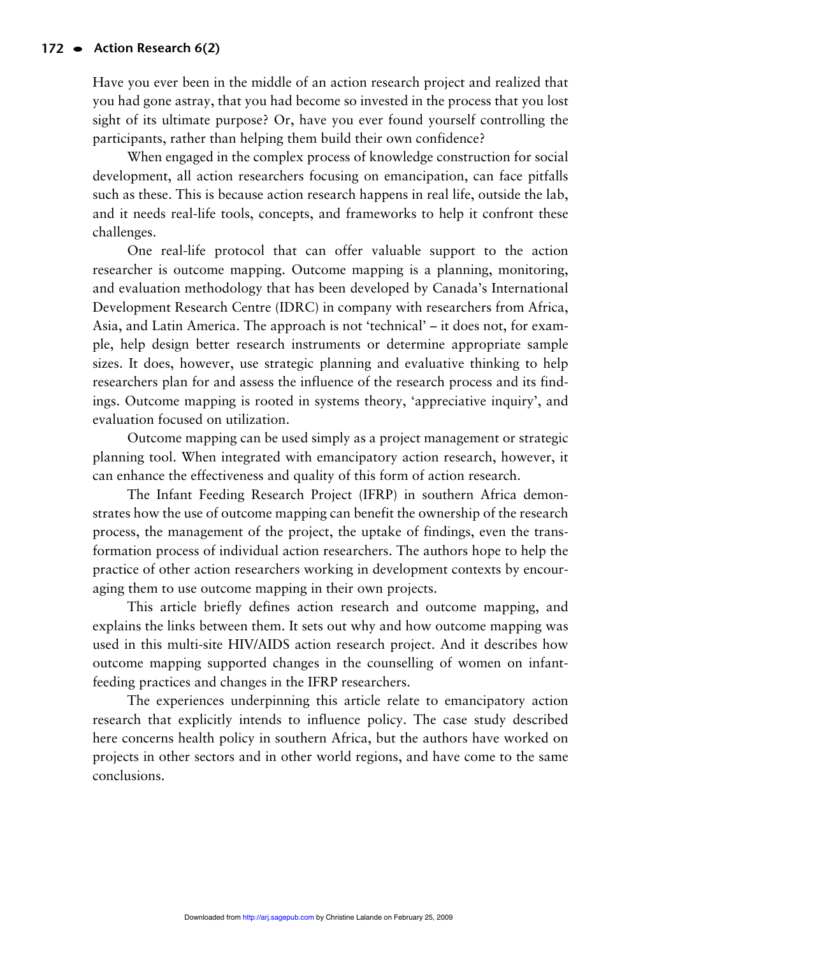Have you ever been in the middle of an action research project and realized that you had gone astray, that you had become so invested in the process that you lost sight of its ultimate purpose? Or, have you ever found yourself controlling the participants, rather than helping them build their own confidence?

When engaged in the complex process of knowledge construction for social development, all action researchers focusing on emancipation, can face pitfalls such as these. This is because action research happens in real life, outside the lab, and it needs real-life tools, concepts, and frameworks to help it confront these challenges.

One real-life protocol that can offer valuable support to the action researcher is outcome mapping. Outcome mapping is a planning, monitoring, and evaluation methodology that has been developed by Canada's International Development Research Centre (IDRC) in company with researchers from Africa, Asia, and Latin America. The approach is not 'technical' – it does not, for example, help design better research instruments or determine appropriate sample sizes. It does, however, use strategic planning and evaluative thinking to help researchers plan for and assess the influence of the research process and its findings. Outcome mapping is rooted in systems theory, 'appreciative inquiry', and evaluation focused on utilization.

Outcome mapping can be used simply as a project management or strategic planning tool. When integrated with emancipatory action research, however, it can enhance the effectiveness and quality of this form of action research.

The Infant Feeding Research Project (IFRP) in southern Africa demonstrates how the use of outcome mapping can benefit the ownership of the research process, the management of the project, the uptake of findings, even the transformation process of individual action researchers. The authors hope to help the practice of other action researchers working in development contexts by encouraging them to use outcome mapping in their own projects.

This article briefly defines action research and outcome mapping, and explains the links between them. It sets out why and how outcome mapping was used in this multi-site HIV/AIDS action research project. And it describes how outcome mapping supported changes in the counselling of women on infantfeeding practices and changes in the IFRP researchers.

The experiences underpinning this article relate to emancipatory action research that explicitly intends to influence policy. The case study described here concerns health policy in southern Africa, but the authors have worked on projects in other sectors and in other world regions, and have come to the same conclusions.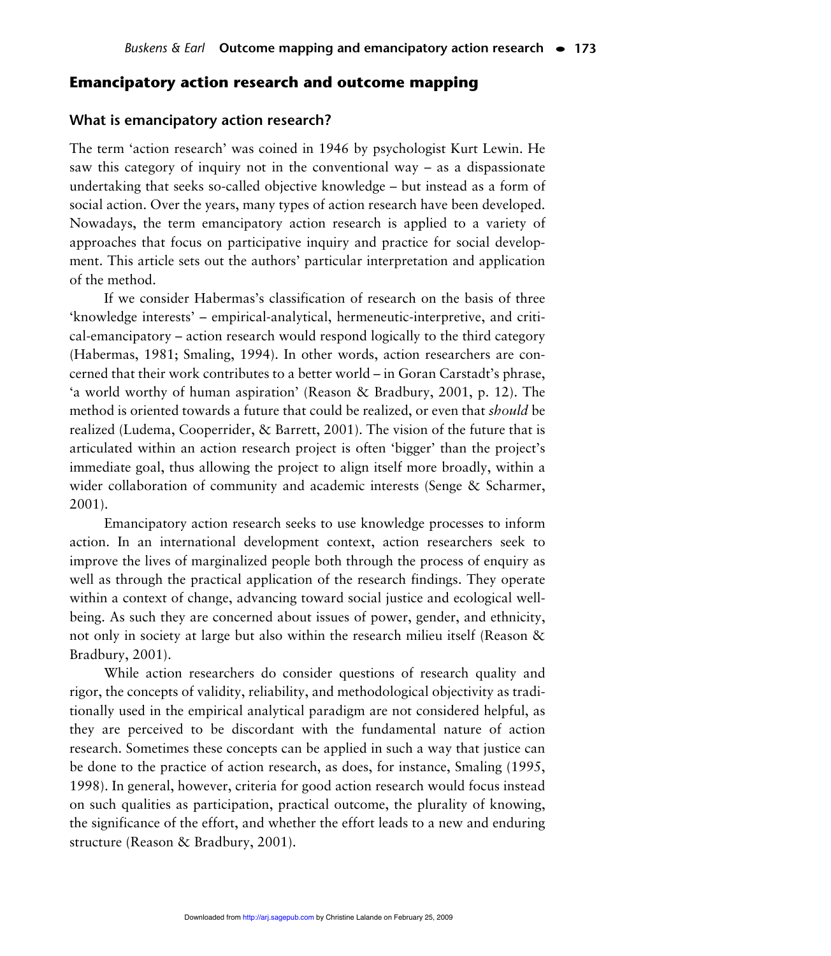#### **Emancipatory action research and outcome mapping**

#### **What is emancipatory action research?**

The term 'action research' was coined in 1946 by psychologist Kurt Lewin. He saw this category of inquiry not in the conventional way – as a dispassionate undertaking that seeks so-called objective knowledge – but instead as a form of social action. Over the years, many types of action research have been developed. Nowadays, the term emancipatory action research is applied to a variety of approaches that focus on participative inquiry and practice for social development. This article sets out the authors' particular interpretation and application of the method.

If we consider Habermas's classification of research on the basis of three 'knowledge interests' – empirical-analytical, hermeneutic-interpretive, and critical-emancipatory – action research would respond logically to the third category (Habermas, 1981; Smaling, 1994). In other words, action researchers are concerned that their work contributes to a better world – in Goran Carstadt's phrase, 'a world worthy of human aspiration' (Reason & Bradbury, 2001, p. 12). The method is oriented towards a future that could be realized, or even that *should* be realized (Ludema, Cooperrider, & Barrett, 2001). The vision of the future that is articulated within an action research project is often 'bigger' than the project's immediate goal, thus allowing the project to align itself more broadly, within a wider collaboration of community and academic interests (Senge & Scharmer, 2001).

Emancipatory action research seeks to use knowledge processes to inform action. In an international development context, action researchers seek to improve the lives of marginalized people both through the process of enquiry as well as through the practical application of the research findings. They operate within a context of change, advancing toward social justice and ecological wellbeing. As such they are concerned about issues of power, gender, and ethnicity, not only in society at large but also within the research milieu itself (Reason & Bradbury, 2001).

While action researchers do consider questions of research quality and rigor, the concepts of validity, reliability, and methodological objectivity as traditionally used in the empirical analytical paradigm are not considered helpful, as they are perceived to be discordant with the fundamental nature of action research. Sometimes these concepts can be applied in such a way that justice can be done to the practice of action research, as does, for instance, Smaling (1995, 1998). In general, however, criteria for good action research would focus instead on such qualities as participation, practical outcome, the plurality of knowing, the significance of the effort, and whether the effort leads to a new and enduring structure (Reason & Bradbury, 2001).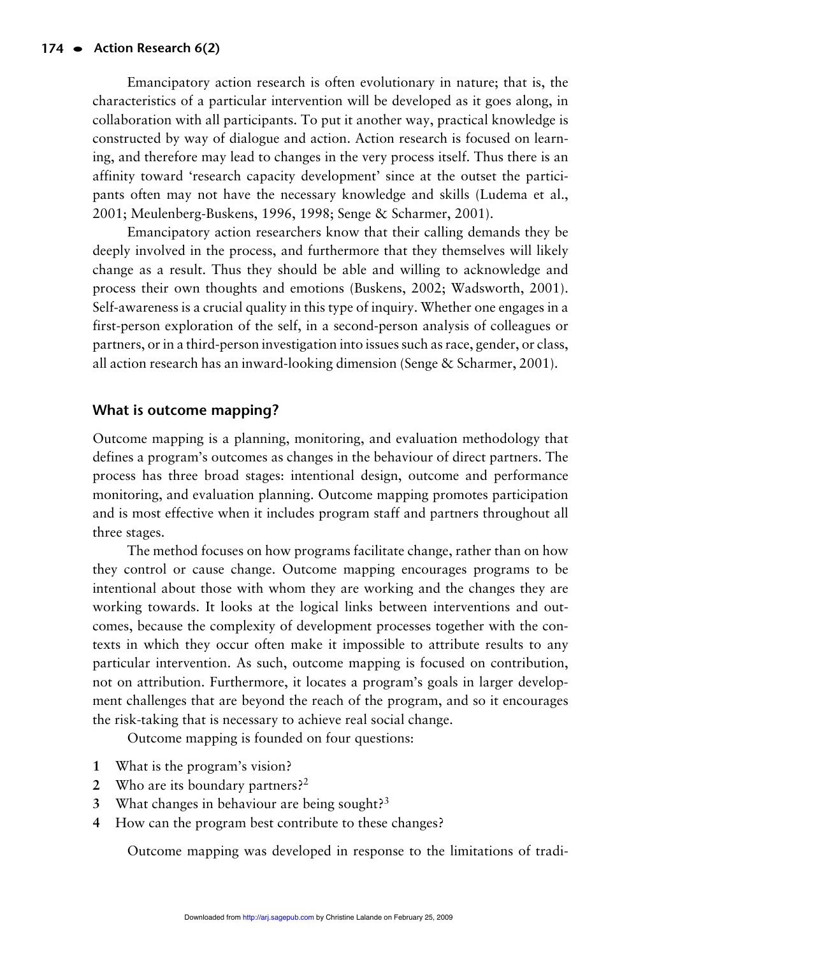Emancipatory action research is often evolutionary in nature; that is, the characteristics of a particular intervention will be developed as it goes along, in collaboration with all participants. To put it another way, practical knowledge is constructed by way of dialogue and action. Action research is focused on learning, and therefore may lead to changes in the very process itself. Thus there is an affinity toward 'research capacity development' since at the outset the participants often may not have the necessary knowledge and skills (Ludema et al., 2001; Meulenberg-Buskens, 1996, 1998; Senge & Scharmer, 2001).

Emancipatory action researchers know that their calling demands they be deeply involved in the process, and furthermore that they themselves will likely change as a result. Thus they should be able and willing to acknowledge and process their own thoughts and emotions (Buskens, 2002; Wadsworth, 2001). Self-awareness is a crucial quality in this type of inquiry. Whether one engages in a first-person exploration of the self, in a second-person analysis of colleagues or partners, or in a third-person investigation into issues such as race, gender, or class, all action research has an inward-looking dimension (Senge & Scharmer, 2001).

# **What is outcome mapping?**

Outcome mapping is a planning, monitoring, and evaluation methodology that defines a program's outcomes as changes in the behaviour of direct partners. The process has three broad stages: intentional design, outcome and performance monitoring, and evaluation planning. Outcome mapping promotes participation and is most effective when it includes program staff and partners throughout all three stages.

The method focuses on how programs facilitate change, rather than on how they control or cause change. Outcome mapping encourages programs to be intentional about those with whom they are working and the changes they are working towards. It looks at the logical links between interventions and outcomes, because the complexity of development processes together with the contexts in which they occur often make it impossible to attribute results to any particular intervention. As such, outcome mapping is focused on contribution, not on attribution. Furthermore, it locates a program's goals in larger development challenges that are beyond the reach of the program, and so it encourages the risk-taking that is necessary to achieve real social change.

Outcome mapping is founded on four questions:

- **1** What is the program's vision?
- **2** Who are its boundary partners?2
- **3** What changes in behaviour are being sought?3
- **4** How can the program best contribute to these changes?

Outcome mapping was developed in response to the limitations of tradi-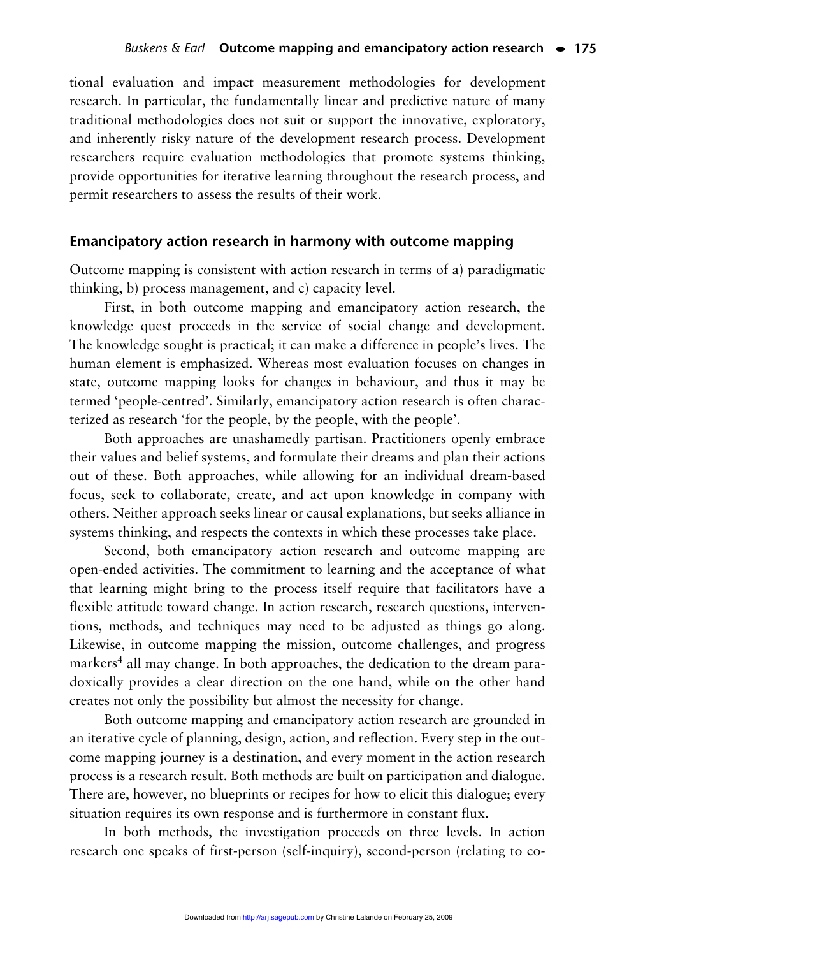tional evaluation and impact measurement methodologies for development research. In particular, the fundamentally linear and predictive nature of many traditional methodologies does not suit or support the innovative, exploratory, and inherently risky nature of the development research process. Development researchers require evaluation methodologies that promote systems thinking, provide opportunities for iterative learning throughout the research process, and permit researchers to assess the results of their work.

#### **Emancipatory action research in harmony with outcome mapping**

Outcome mapping is consistent with action research in terms of a) paradigmatic thinking, b) process management, and c) capacity level.

First, in both outcome mapping and emancipatory action research, the knowledge quest proceeds in the service of social change and development. The knowledge sought is practical; it can make a difference in people's lives. The human element is emphasized. Whereas most evaluation focuses on changes in state, outcome mapping looks for changes in behaviour, and thus it may be termed 'people-centred'. Similarly, emancipatory action research is often characterized as research 'for the people, by the people, with the people'.

Both approaches are unashamedly partisan. Practitioners openly embrace their values and belief systems, and formulate their dreams and plan their actions out of these. Both approaches, while allowing for an individual dream-based focus, seek to collaborate, create, and act upon knowledge in company with others. Neither approach seeks linear or causal explanations, but seeks alliance in systems thinking, and respects the contexts in which these processes take place.

Second, both emancipatory action research and outcome mapping are open-ended activities. The commitment to learning and the acceptance of what that learning might bring to the process itself require that facilitators have a flexible attitude toward change. In action research, research questions, interventions, methods, and techniques may need to be adjusted as things go along. Likewise, in outcome mapping the mission, outcome challenges, and progress markers<sup>4</sup> all may change. In both approaches, the dedication to the dream paradoxically provides a clear direction on the one hand, while on the other hand creates not only the possibility but almost the necessity for change.

Both outcome mapping and emancipatory action research are grounded in an iterative cycle of planning, design, action, and reflection. Every step in the outcome mapping journey is a destination, and every moment in the action research process is a research result. Both methods are built on participation and dialogue. There are, however, no blueprints or recipes for how to elicit this dialogue; every situation requires its own response and is furthermore in constant flux.

In both methods, the investigation proceeds on three levels. In action research one speaks of first-person (self-inquiry), second-person (relating to co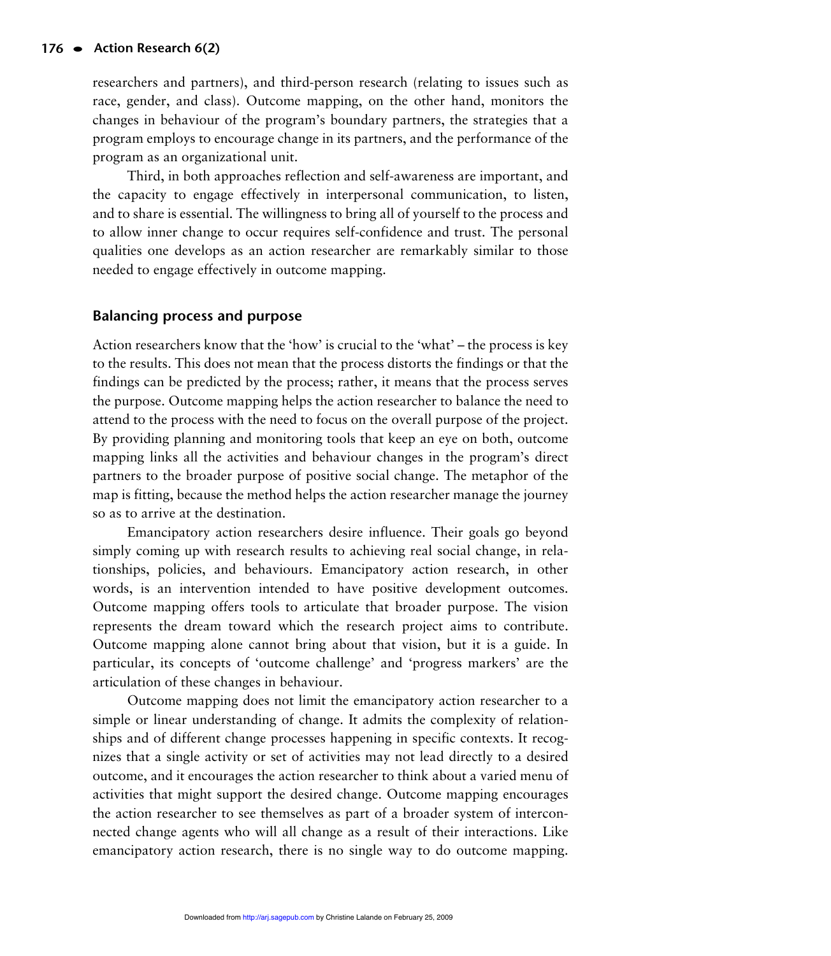researchers and partners), and third-person research (relating to issues such as race, gender, and class). Outcome mapping, on the other hand, monitors the changes in behaviour of the program's boundary partners, the strategies that a program employs to encourage change in its partners, and the performance of the program as an organizational unit.

Third, in both approaches reflection and self-awareness are important, and the capacity to engage effectively in interpersonal communication, to listen, and to share is essential. The willingness to bring all of yourself to the process and to allow inner change to occur requires self-confidence and trust. The personal qualities one develops as an action researcher are remarkably similar to those needed to engage effectively in outcome mapping.

# **Balancing process and purpose**

Action researchers know that the 'how' is crucial to the 'what' – the process is key to the results. This does not mean that the process distorts the findings or that the findings can be predicted by the process; rather, it means that the process serves the purpose. Outcome mapping helps the action researcher to balance the need to attend to the process with the need to focus on the overall purpose of the project. By providing planning and monitoring tools that keep an eye on both, outcome mapping links all the activities and behaviour changes in the program's direct partners to the broader purpose of positive social change. The metaphor of the map is fitting, because the method helps the action researcher manage the journey so as to arrive at the destination.

Emancipatory action researchers desire influence. Their goals go beyond simply coming up with research results to achieving real social change, in relationships, policies, and behaviours. Emancipatory action research, in other words, is an intervention intended to have positive development outcomes. Outcome mapping offers tools to articulate that broader purpose. The vision represents the dream toward which the research project aims to contribute. Outcome mapping alone cannot bring about that vision, but it is a guide. In particular, its concepts of 'outcome challenge' and 'progress markers' are the articulation of these changes in behaviour.

Outcome mapping does not limit the emancipatory action researcher to a simple or linear understanding of change. It admits the complexity of relationships and of different change processes happening in specific contexts. It recognizes that a single activity or set of activities may not lead directly to a desired outcome, and it encourages the action researcher to think about a varied menu of activities that might support the desired change. Outcome mapping encourages the action researcher to see themselves as part of a broader system of interconnected change agents who will all change as a result of their interactions. Like emancipatory action research, there is no single way to do outcome mapping.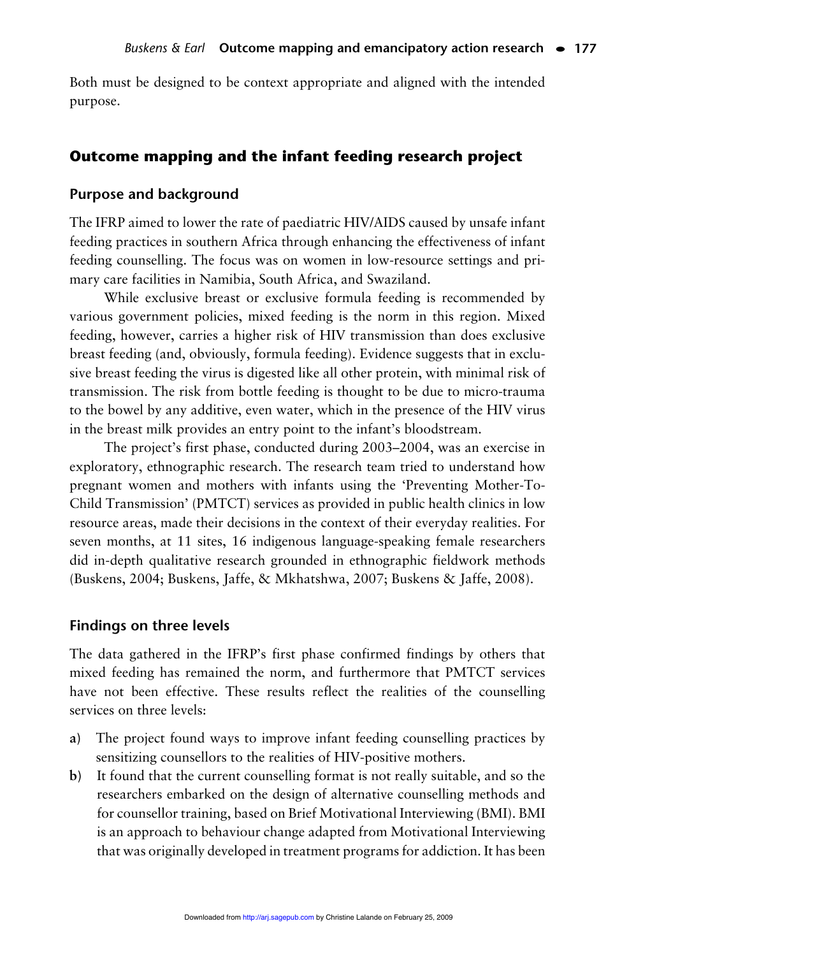Both must be designed to be context appropriate and aligned with the intended purpose.

# **Outcome mapping and the infant feeding research project**

#### **Purpose and background**

The IFRP aimed to lower the rate of paediatric HIV/AIDS caused by unsafe infant feeding practices in southern Africa through enhancing the effectiveness of infant feeding counselling. The focus was on women in low-resource settings and primary care facilities in Namibia, South Africa, and Swaziland.

While exclusive breast or exclusive formula feeding is recommended by various government policies, mixed feeding is the norm in this region. Mixed feeding, however, carries a higher risk of HIV transmission than does exclusive breast feeding (and, obviously, formula feeding). Evidence suggests that in exclusive breast feeding the virus is digested like all other protein, with minimal risk of transmission. The risk from bottle feeding is thought to be due to micro-trauma to the bowel by any additive, even water, which in the presence of the HIV virus in the breast milk provides an entry point to the infant's bloodstream.

The project's first phase, conducted during 2003–2004, was an exercise in exploratory, ethnographic research. The research team tried to understand how pregnant women and mothers with infants using the 'Preventing Mother-To-Child Transmission' (PMTCT) services as provided in public health clinics in low resource areas, made their decisions in the context of their everyday realities. For seven months, at 11 sites, 16 indigenous language-speaking female researchers did in-depth qualitative research grounded in ethnographic fieldwork methods (Buskens, 2004; Buskens, Jaffe, & Mkhatshwa, 2007; Buskens & Jaffe, 2008).

#### **Findings on three levels**

The data gathered in the IFRP's first phase confirmed findings by others that mixed feeding has remained the norm, and furthermore that PMTCT services have not been effective. These results reflect the realities of the counselling services on three levels:

- **a)** The project found ways to improve infant feeding counselling practices by sensitizing counsellors to the realities of HIV-positive mothers.
- **b)** It found that the current counselling format is not really suitable, and so the researchers embarked on the design of alternative counselling methods and for counsellor training, based on Brief Motivational Interviewing (BMI). BMI is an approach to behaviour change adapted from Motivational Interviewing that was originally developed in treatment programs for addiction. It has been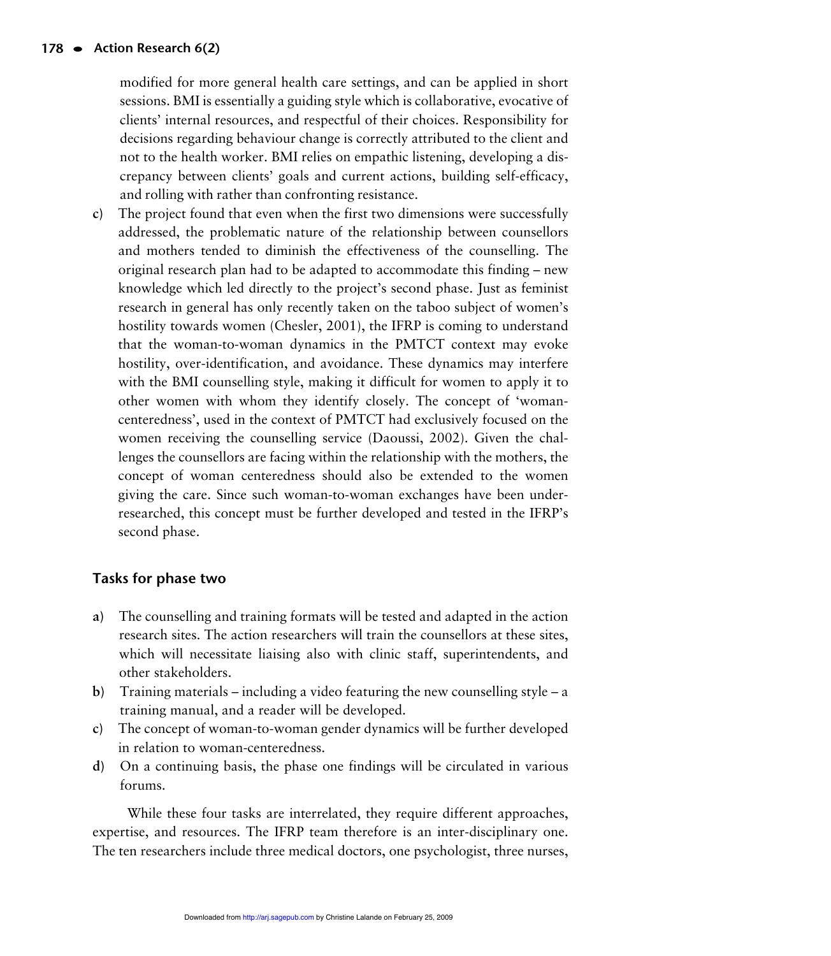modified for more general health care settings, and can be applied in short sessions. BMI is essentially a guiding style which is collaborative, evocative of clients' internal resources, and respectful of their choices. Responsibility for decisions regarding behaviour change is correctly attributed to the client and not to the health worker. BMI relies on empathic listening, developing a discrepancy between clients' goals and current actions, building self-efficacy, and rolling with rather than confronting resistance.

**c)** The project found that even when the first two dimensions were successfully addressed, the problematic nature of the relationship between counsellors and mothers tended to diminish the effectiveness of the counselling. The original research plan had to be adapted to accommodate this finding – new knowledge which led directly to the project's second phase. Just as feminist research in general has only recently taken on the taboo subject of women's hostility towards women (Chesler, 2001), the IFRP is coming to understand that the woman-to-woman dynamics in the PMTCT context may evoke hostility, over-identification, and avoidance. These dynamics may interfere with the BMI counselling style, making it difficult for women to apply it to other women with whom they identify closely. The concept of 'womancenteredness', used in the context of PMTCT had exclusively focused on the women receiving the counselling service (Daoussi, 2002). Given the challenges the counsellors are facing within the relationship with the mothers, the concept of woman centeredness should also be extended to the women giving the care. Since such woman-to-woman exchanges have been underresearched, this concept must be further developed and tested in the IFRP's second phase.

# **Tasks for phase two**

- **a)** The counselling and training formats will be tested and adapted in the action research sites. The action researchers will train the counsellors at these sites, which will necessitate liaising also with clinic staff, superintendents, and other stakeholders.
- **b)** Training materials including a video featuring the new counselling style a training manual, and a reader will be developed.
- **c)** The concept of woman-to-woman gender dynamics will be further developed in relation to woman-centeredness.
- **d)** On a continuing basis, the phase one findings will be circulated in various forums.

While these four tasks are interrelated, they require different approaches, expertise, and resources. The IFRP team therefore is an inter-disciplinary one. The ten researchers include three medical doctors, one psychologist, three nurses,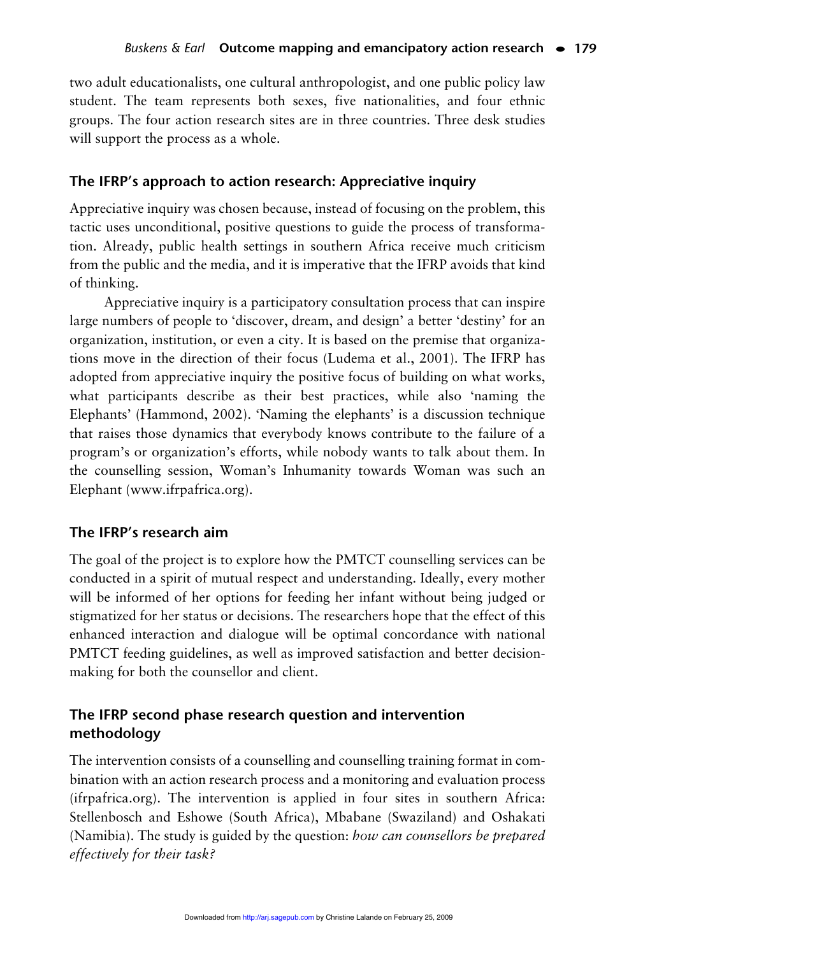two adult educationalists, one cultural anthropologist, and one public policy law student. The team represents both sexes, five nationalities, and four ethnic groups. The four action research sites are in three countries. Three desk studies will support the process as a whole.

## **The IFRP's approach to action research: Appreciative inquiry**

Appreciative inquiry was chosen because, instead of focusing on the problem, this tactic uses unconditional, positive questions to guide the process of transformation. Already, public health settings in southern Africa receive much criticism from the public and the media, and it is imperative that the IFRP avoids that kind of thinking.

Appreciative inquiry is a participatory consultation process that can inspire large numbers of people to 'discover, dream, and design' a better 'destiny' for an organization, institution, or even a city. It is based on the premise that organizations move in the direction of their focus (Ludema et al., 2001). The IFRP has adopted from appreciative inquiry the positive focus of building on what works, what participants describe as their best practices, while also 'naming the Elephants' (Hammond, 2002). 'Naming the elephants' is a discussion technique that raises those dynamics that everybody knows contribute to the failure of a program's or organization's efforts, while nobody wants to talk about them. In the counselling session, Woman's Inhumanity towards Woman was such an Elephant (www.ifrpafrica.org).

#### **The IFRP's research aim**

The goal of the project is to explore how the PMTCT counselling services can be conducted in a spirit of mutual respect and understanding. Ideally, every mother will be informed of her options for feeding her infant without being judged or stigmatized for her status or decisions. The researchers hope that the effect of this enhanced interaction and dialogue will be optimal concordance with national PMTCT feeding guidelines, as well as improved satisfaction and better decisionmaking for both the counsellor and client.

# **The IFRP second phase research question and intervention methodology**

The intervention consists of a counselling and counselling training format in combination with an action research process and a monitoring and evaluation process (ifrpafrica.org). The intervention is applied in four sites in southern Africa: Stellenbosch and Eshowe (South Africa), Mbabane (Swaziland) and Oshakati (Namibia). The study is guided by the question: *how can counsellors be prepared effectively for their task?*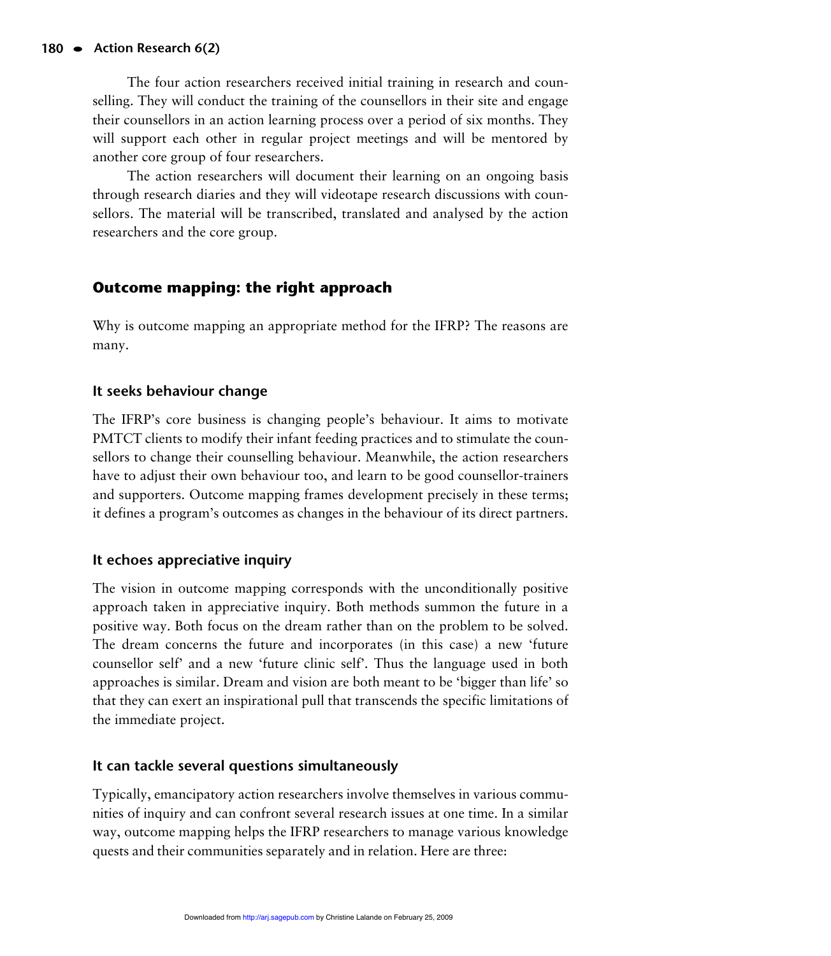The four action researchers received initial training in research and counselling. They will conduct the training of the counsellors in their site and engage their counsellors in an action learning process over a period of six months. They will support each other in regular project meetings and will be mentored by another core group of four researchers.

The action researchers will document their learning on an ongoing basis through research diaries and they will videotape research discussions with counsellors. The material will be transcribed, translated and analysed by the action researchers and the core group.

# **Outcome mapping: the right approach**

Why is outcome mapping an appropriate method for the IFRP? The reasons are many.

# **It seeks behaviour change**

The IFRP's core business is changing people's behaviour. It aims to motivate PMTCT clients to modify their infant feeding practices and to stimulate the counsellors to change their counselling behaviour. Meanwhile, the action researchers have to adjust their own behaviour too, and learn to be good counsellor-trainers and supporters. Outcome mapping frames development precisely in these terms; it defines a program's outcomes as changes in the behaviour of its direct partners.

# **It echoes appreciative inquiry**

The vision in outcome mapping corresponds with the unconditionally positive approach taken in appreciative inquiry. Both methods summon the future in a positive way. Both focus on the dream rather than on the problem to be solved. The dream concerns the future and incorporates (in this case) a new 'future counsellor self' and a new 'future clinic self'. Thus the language used in both approaches is similar. Dream and vision are both meant to be 'bigger than life' so that they can exert an inspirational pull that transcends the specific limitations of the immediate project.

# **It can tackle several questions simultaneously**

Typically, emancipatory action researchers involve themselves in various communities of inquiry and can confront several research issues at one time. In a similar way, outcome mapping helps the IFRP researchers to manage various knowledge quests and their communities separately and in relation. Here are three: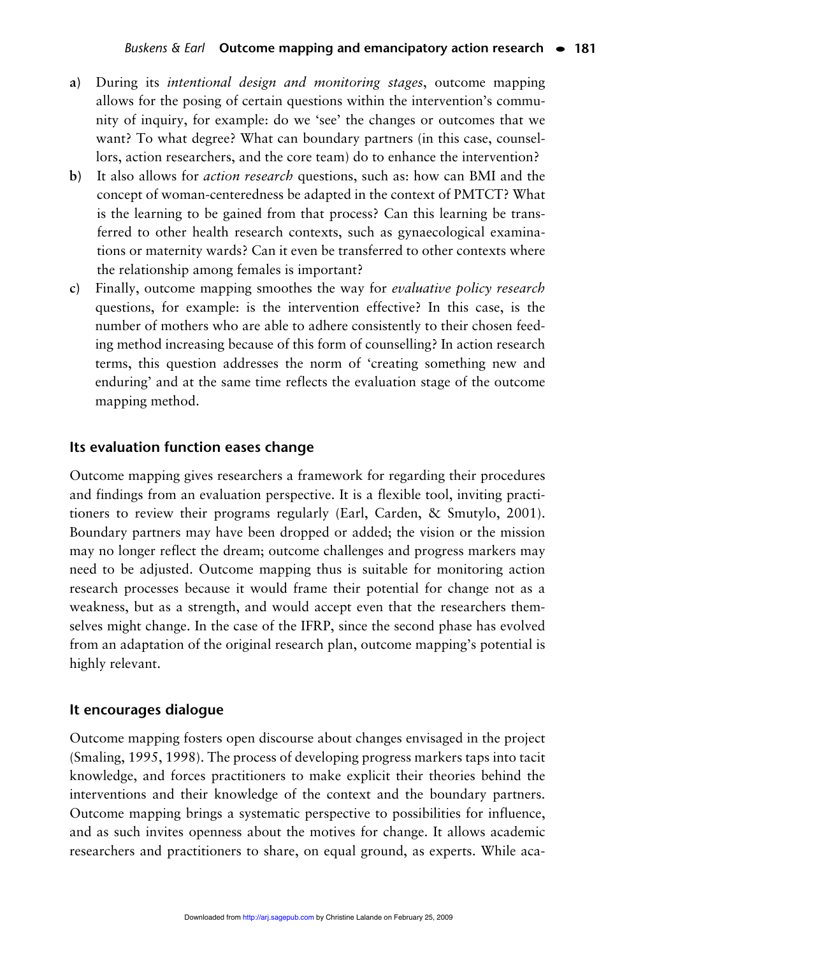- **a)** During its *intentional design and monitoring stages*, outcome mapping allows for the posing of certain questions within the intervention's community of inquiry, for example: do we 'see' the changes or outcomes that we want? To what degree? What can boundary partners (in this case, counsellors, action researchers, and the core team) do to enhance the intervention?
- **b)** It also allows for *action research* questions, such as: how can BMI and the concept of woman-centeredness be adapted in the context of PMTCT? What is the learning to be gained from that process? Can this learning be transferred to other health research contexts, such as gynaecological examinations or maternity wards? Can it even be transferred to other contexts where the relationship among females is important?
- **c)** Finally, outcome mapping smoothes the way for *evaluative policy research* questions, for example: is the intervention effective? In this case, is the number of mothers who are able to adhere consistently to their chosen feeding method increasing because of this form of counselling? In action research terms, this question addresses the norm of 'creating something new and enduring' and at the same time reflects the evaluation stage of the outcome mapping method.

## **Its evaluation function eases change**

Outcome mapping gives researchers a framework for regarding their procedures and findings from an evaluation perspective. It is a flexible tool, inviting practitioners to review their programs regularly (Earl, Carden, & Smutylo, 2001). Boundary partners may have been dropped or added; the vision or the mission may no longer reflect the dream; outcome challenges and progress markers may need to be adjusted. Outcome mapping thus is suitable for monitoring action research processes because it would frame their potential for change not as a weakness, but as a strength, and would accept even that the researchers themselves might change. In the case of the IFRP, since the second phase has evolved from an adaptation of the original research plan, outcome mapping's potential is highly relevant.

#### **It encourages dialogue**

Outcome mapping fosters open discourse about changes envisaged in the project (Smaling, 1995, 1998). The process of developing progress markers taps into tacit knowledge, and forces practitioners to make explicit their theories behind the interventions and their knowledge of the context and the boundary partners. Outcome mapping brings a systematic perspective to possibilities for influence, and as such invites openness about the motives for change. It allows academic researchers and practitioners to share, on equal ground, as experts. While aca-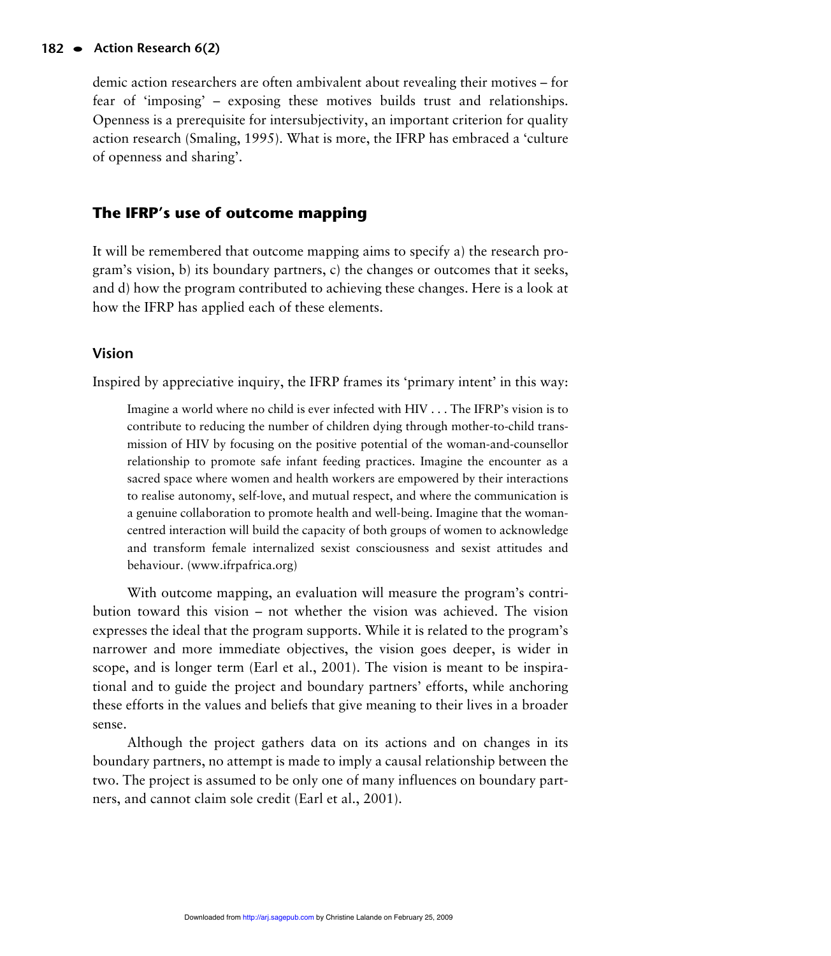#### **<sup>182</sup> • Action Research 6(2)**

demic action researchers are often ambivalent about revealing their motives – for fear of 'imposing' – exposing these motives builds trust and relationships. Openness is a prerequisite for intersubjectivity, an important criterion for quality action research (Smaling, 1995). What is more, the IFRP has embraced a 'culture of openness and sharing'.

# **The IFRP's use of outcome mapping**

It will be remembered that outcome mapping aims to specify a) the research program's vision, b) its boundary partners, c) the changes or outcomes that it seeks, and d) how the program contributed to achieving these changes. Here is a look at how the IFRP has applied each of these elements.

# **Vision**

Inspired by appreciative inquiry, the IFRP frames its 'primary intent' in this way:

Imagine a world where no child is ever infected with HIV . . . The IFRP's vision is to contribute to reducing the number of children dying through mother-to-child transmission of HIV by focusing on the positive potential of the woman-and-counsellor relationship to promote safe infant feeding practices. Imagine the encounter as a sacred space where women and health workers are empowered by their interactions to realise autonomy, self-love, and mutual respect, and where the communication is a genuine collaboration to promote health and well-being. Imagine that the womancentred interaction will build the capacity of both groups of women to acknowledge and transform female internalized sexist consciousness and sexist attitudes and behaviour. (www.ifrpafrica.org)

With outcome mapping, an evaluation will measure the program's contribution toward this vision – not whether the vision was achieved. The vision expresses the ideal that the program supports. While it is related to the program's narrower and more immediate objectives, the vision goes deeper, is wider in scope, and is longer term (Earl et al., 2001). The vision is meant to be inspirational and to guide the project and boundary partners' efforts, while anchoring these efforts in the values and beliefs that give meaning to their lives in a broader sense.

Although the project gathers data on its actions and on changes in its boundary partners, no attempt is made to imply a causal relationship between the two. The project is assumed to be only one of many influences on boundary partners, and cannot claim sole credit (Earl et al., 2001).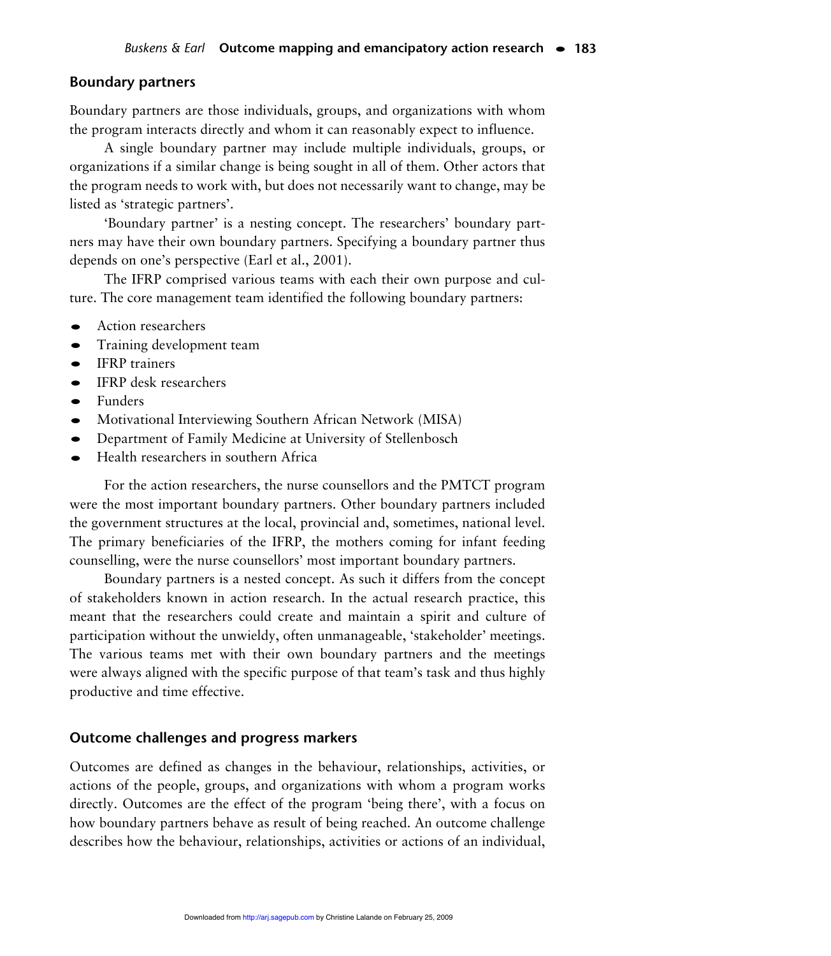## **Boundary partners**

Boundary partners are those individuals, groups, and organizations with whom the program interacts directly and whom it can reasonably expect to influence.

A single boundary partner may include multiple individuals, groups, or organizations if a similar change is being sought in all of them. Other actors that the program needs to work with, but does not necessarily want to change, may be listed as 'strategic partners'.

'Boundary partner' is a nesting concept. The researchers' boundary partners may have their own boundary partners. Specifying a boundary partner thus depends on one's perspective (Earl et al., 2001).

The IFRP comprised various teams with each their own purpose and culture. The core management team identified the following boundary partners:

- **•** Action researchers
- **•** Training development team
- **•** IFRP trainers
- **•** IFRP desk researchers
- **•** Funders
- **•** Motivational Interviewing Southern African Network (MISA)
- **•** Department of Family Medicine at University of Stellenbosch
- **•** Health researchers in southern Africa

For the action researchers, the nurse counsellors and the PMTCT program were the most important boundary partners. Other boundary partners included the government structures at the local, provincial and, sometimes, national level. The primary beneficiaries of the IFRP, the mothers coming for infant feeding counselling, were the nurse counsellors' most important boundary partners.

Boundary partners is a nested concept. As such it differs from the concept of stakeholders known in action research. In the actual research practice, this meant that the researchers could create and maintain a spirit and culture of participation without the unwieldy, often unmanageable, 'stakeholder' meetings. The various teams met with their own boundary partners and the meetings were always aligned with the specific purpose of that team's task and thus highly productive and time effective.

#### **Outcome challenges and progress markers**

Outcomes are defined as changes in the behaviour, relationships, activities, or actions of the people, groups, and organizations with whom a program works directly. Outcomes are the effect of the program 'being there', with a focus on how boundary partners behave as result of being reached. An outcome challenge describes how the behaviour, relationships, activities or actions of an individual,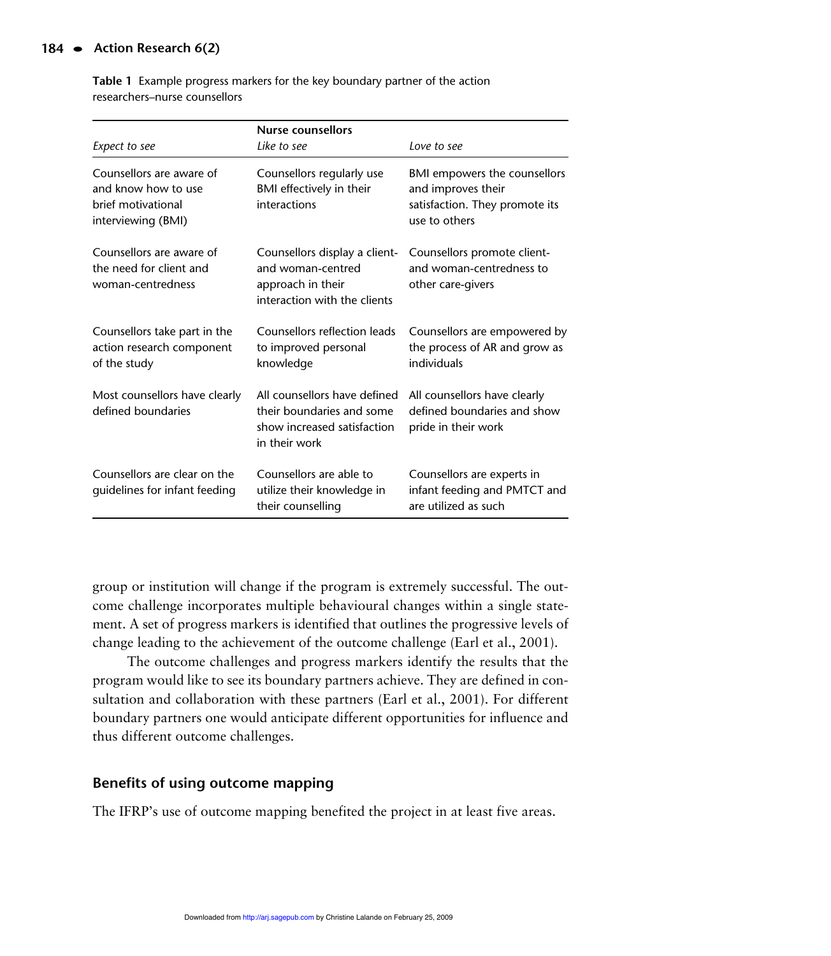#### **<sup>184</sup> • Action Research 6(2)**

| Expect to see                                                                               | <b>Nurse counsellors</b><br>Like to see                                                                   | Love to see                                                                                           |
|---------------------------------------------------------------------------------------------|-----------------------------------------------------------------------------------------------------------|-------------------------------------------------------------------------------------------------------|
| Counsellors are aware of<br>and know how to use<br>brief motivational<br>interviewing (BMI) | Counsellors regularly use<br>BMI effectively in their<br>interactions                                     | BMI empowers the counsellors<br>and improves their<br>satisfaction. They promote its<br>use to others |
| Counsellors are aware of<br>the need for client and<br>woman-centredness                    | Counsellors display a client-<br>and woman-centred<br>approach in their<br>interaction with the clients   | Counsellors promote client-<br>and woman-centredness to<br>other care-givers                          |
| Counsellors take part in the<br>action research component<br>of the study                   | Counsellors reflection leads<br>to improved personal<br>knowledge                                         | Counsellors are empowered by<br>the process of AR and grow as<br>individuals                          |
| Most counsellors have clearly<br>defined boundaries                                         | All counsellors have defined<br>their boundaries and some<br>show increased satisfaction<br>in their work | All counsellors have clearly<br>defined boundaries and show<br>pride in their work                    |
| Counsellors are clear on the<br>quidelines for infant feeding                               | Counsellors are able to<br>utilize their knowledge in<br>their counselling                                | Counsellors are experts in<br>infant feeding and PMTCT and<br>are utilized as such                    |

**Table 1** Example progress markers for the key boundary partner of the action researchers–nurse counsellors

group or institution will change if the program is extremely successful. The outcome challenge incorporates multiple behavioural changes within a single statement. A set of progress markers is identified that outlines the progressive levels of change leading to the achievement of the outcome challenge (Earl et al., 2001).

The outcome challenges and progress markers identify the results that the program would like to see its boundary partners achieve. They are defined in consultation and collaboration with these partners (Earl et al., 2001). For different boundary partners one would anticipate different opportunities for influence and thus different outcome challenges.

# **Benefits of using outcome mapping**

The IFRP's use of outcome mapping benefited the project in at least five areas.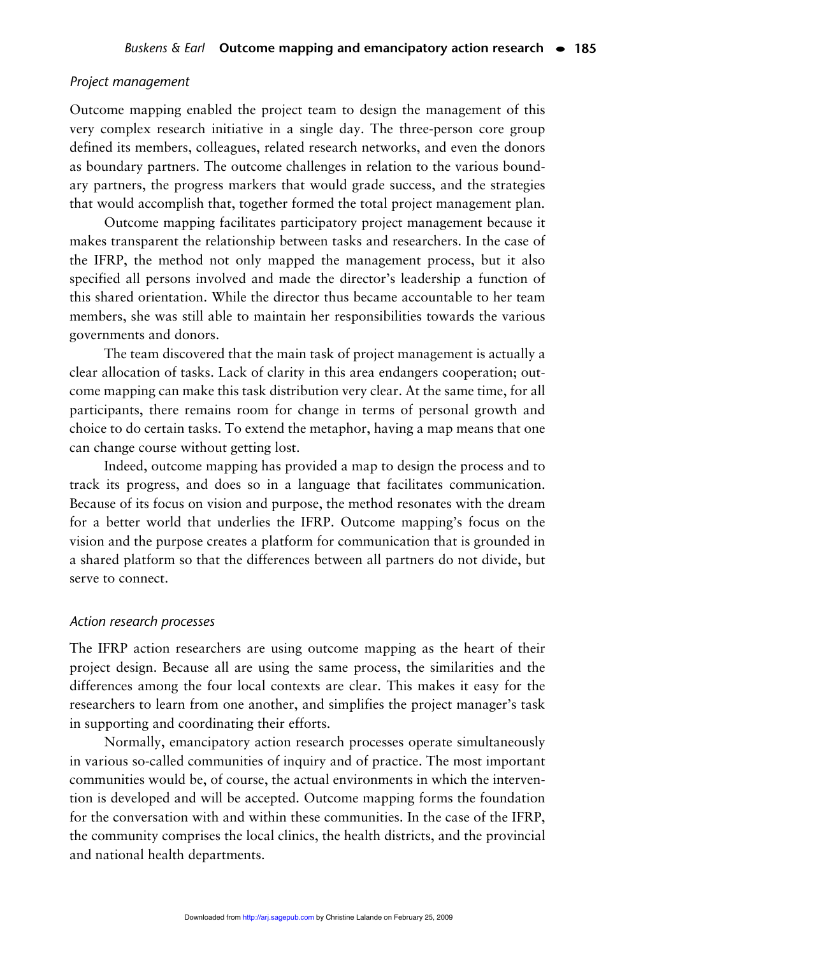#### *Project management*

Outcome mapping enabled the project team to design the management of this very complex research initiative in a single day. The three-person core group defined its members, colleagues, related research networks, and even the donors as boundary partners. The outcome challenges in relation to the various boundary partners, the progress markers that would grade success, and the strategies that would accomplish that, together formed the total project management plan.

Outcome mapping facilitates participatory project management because it makes transparent the relationship between tasks and researchers. In the case of the IFRP, the method not only mapped the management process, but it also specified all persons involved and made the director's leadership a function of this shared orientation. While the director thus became accountable to her team members, she was still able to maintain her responsibilities towards the various governments and donors.

The team discovered that the main task of project management is actually a clear allocation of tasks. Lack of clarity in this area endangers cooperation; outcome mapping can make this task distribution very clear. At the same time, for all participants, there remains room for change in terms of personal growth and choice to do certain tasks. To extend the metaphor, having a map means that one can change course without getting lost.

Indeed, outcome mapping has provided a map to design the process and to track its progress, and does so in a language that facilitates communication. Because of its focus on vision and purpose, the method resonates with the dream for a better world that underlies the IFRP. Outcome mapping's focus on the vision and the purpose creates a platform for communication that is grounded in a shared platform so that the differences between all partners do not divide, but serve to connect.

#### *Action research processes*

The IFRP action researchers are using outcome mapping as the heart of their project design. Because all are using the same process, the similarities and the differences among the four local contexts are clear. This makes it easy for the researchers to learn from one another, and simplifies the project manager's task in supporting and coordinating their efforts.

Normally, emancipatory action research processes operate simultaneously in various so-called communities of inquiry and of practice. The most important communities would be, of course, the actual environments in which the intervention is developed and will be accepted. Outcome mapping forms the foundation for the conversation with and within these communities. In the case of the IFRP, the community comprises the local clinics, the health districts, and the provincial and national health departments.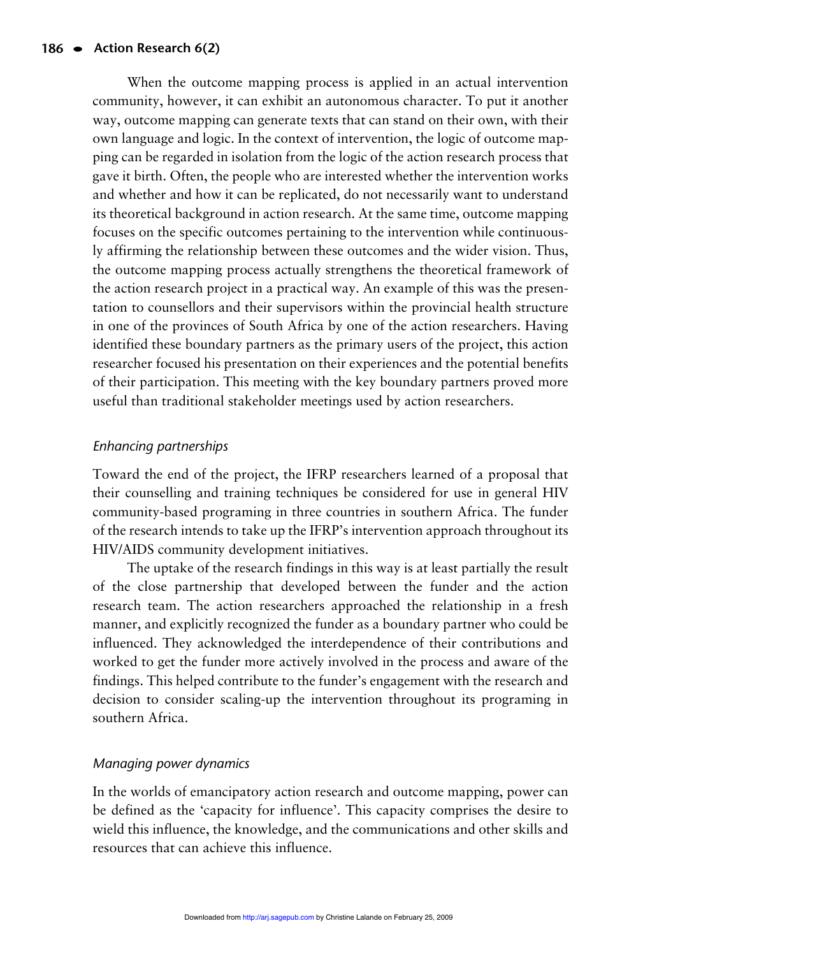When the outcome mapping process is applied in an actual intervention community, however, it can exhibit an autonomous character. To put it another way, outcome mapping can generate texts that can stand on their own, with their own language and logic. In the context of intervention, the logic of outcome mapping can be regarded in isolation from the logic of the action research process that gave it birth. Often, the people who are interested whether the intervention works and whether and how it can be replicated, do not necessarily want to understand its theoretical background in action research. At the same time, outcome mapping focuses on the specific outcomes pertaining to the intervention while continuously affirming the relationship between these outcomes and the wider vision. Thus, the outcome mapping process actually strengthens the theoretical framework of the action research project in a practical way. An example of this was the presentation to counsellors and their supervisors within the provincial health structure in one of the provinces of South Africa by one of the action researchers. Having identified these boundary partners as the primary users of the project, this action researcher focused his presentation on their experiences and the potential benefits of their participation. This meeting with the key boundary partners proved more useful than traditional stakeholder meetings used by action researchers.

# *Enhancing partnerships*

Toward the end of the project, the IFRP researchers learned of a proposal that their counselling and training techniques be considered for use in general HIV community-based programing in three countries in southern Africa. The funder of the research intends to take up the IFRP's intervention approach throughout its HIV/AIDS community development initiatives.

The uptake of the research findings in this way is at least partially the result of the close partnership that developed between the funder and the action research team. The action researchers approached the relationship in a fresh manner, and explicitly recognized the funder as a boundary partner who could be influenced. They acknowledged the interdependence of their contributions and worked to get the funder more actively involved in the process and aware of the findings. This helped contribute to the funder's engagement with the research and decision to consider scaling-up the intervention throughout its programing in southern Africa.

# *Managing power dynamics*

In the worlds of emancipatory action research and outcome mapping, power can be defined as the 'capacity for influence'. This capacity comprises the desire to wield this influence, the knowledge, and the communications and other skills and resources that can achieve this influence.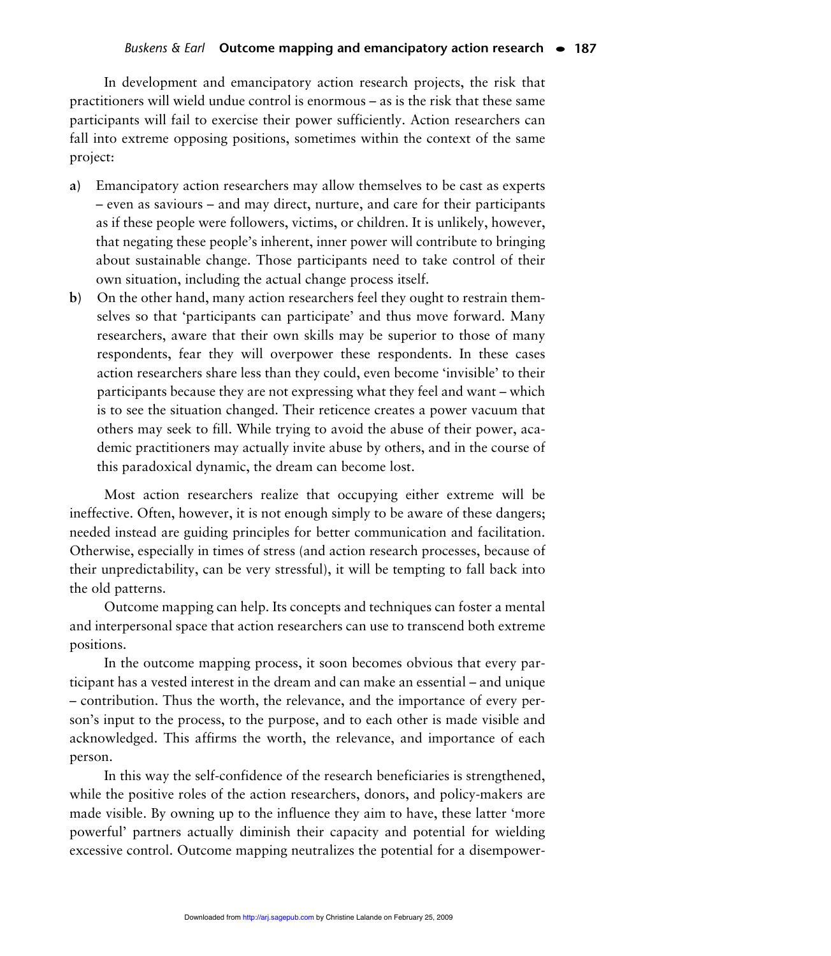In development and emancipatory action research projects, the risk that practitioners will wield undue control is enormous – as is the risk that these same participants will fail to exercise their power sufficiently. Action researchers can fall into extreme opposing positions, sometimes within the context of the same project:

- **a)** Emancipatory action researchers may allow themselves to be cast as experts – even as saviours – and may direct, nurture, and care for their participants as if these people were followers, victims, or children. It is unlikely, however, that negating these people's inherent, inner power will contribute to bringing about sustainable change. Those participants need to take control of their own situation, including the actual change process itself.
- **b)** On the other hand, many action researchers feel they ought to restrain themselves so that 'participants can participate' and thus move forward. Many researchers, aware that their own skills may be superior to those of many respondents, fear they will overpower these respondents. In these cases action researchers share less than they could, even become 'invisible' to their participants because they are not expressing what they feel and want – which is to see the situation changed. Their reticence creates a power vacuum that others may seek to fill. While trying to avoid the abuse of their power, academic practitioners may actually invite abuse by others, and in the course of this paradoxical dynamic, the dream can become lost.

Most action researchers realize that occupying either extreme will be ineffective. Often, however, it is not enough simply to be aware of these dangers; needed instead are guiding principles for better communication and facilitation. Otherwise, especially in times of stress (and action research processes, because of their unpredictability, can be very stressful), it will be tempting to fall back into the old patterns.

Outcome mapping can help. Its concepts and techniques can foster a mental and interpersonal space that action researchers can use to transcend both extreme positions.

In the outcome mapping process, it soon becomes obvious that every participant has a vested interest in the dream and can make an essential – and unique – contribution. Thus the worth, the relevance, and the importance of every person's input to the process, to the purpose, and to each other is made visible and acknowledged. This affirms the worth, the relevance, and importance of each person.

In this way the self-confidence of the research beneficiaries is strengthened, while the positive roles of the action researchers, donors, and policy-makers are made visible. By owning up to the influence they aim to have, these latter 'more powerful' partners actually diminish their capacity and potential for wielding excessive control. Outcome mapping neutralizes the potential for a disempower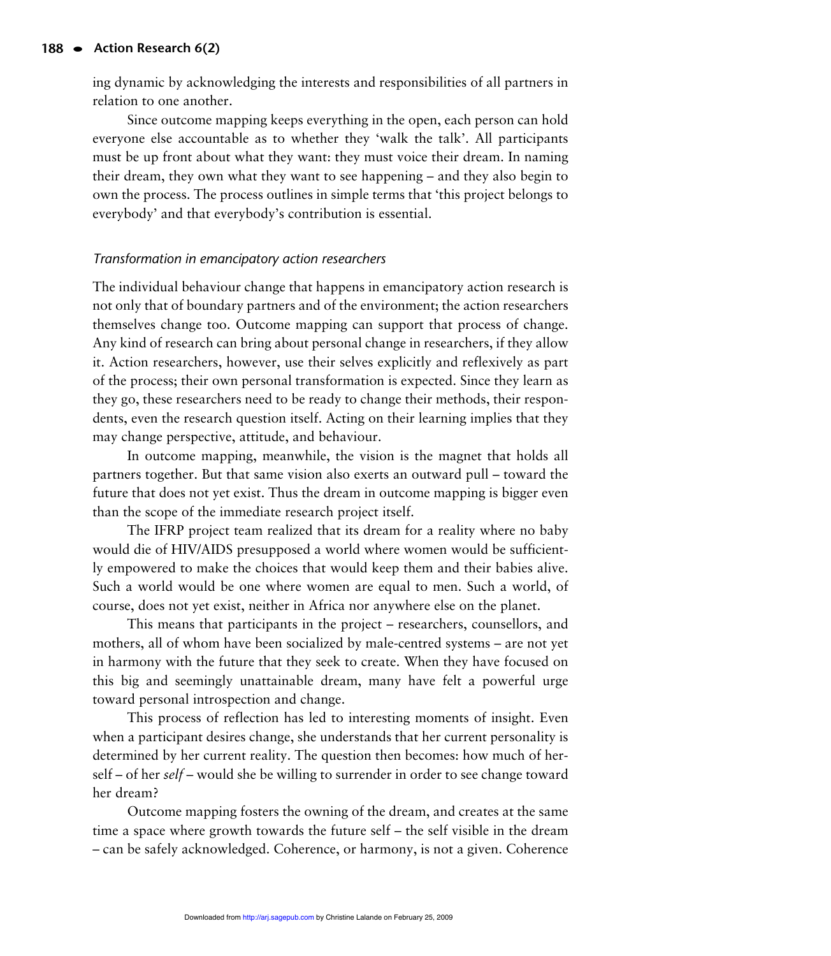ing dynamic by acknowledging the interests and responsibilities of all partners in relation to one another.

Since outcome mapping keeps everything in the open, each person can hold everyone else accountable as to whether they 'walk the talk'. All participants must be up front about what they want: they must voice their dream. In naming their dream, they own what they want to see happening – and they also begin to own the process. The process outlines in simple terms that 'this project belongs to everybody' and that everybody's contribution is essential.

## *Transformation in emancipatory action researchers*

The individual behaviour change that happens in emancipatory action research is not only that of boundary partners and of the environment; the action researchers themselves change too. Outcome mapping can support that process of change. Any kind of research can bring about personal change in researchers, if they allow it. Action researchers, however, use their selves explicitly and reflexively as part of the process; their own personal transformation is expected. Since they learn as they go, these researchers need to be ready to change their methods, their respondents, even the research question itself. Acting on their learning implies that they may change perspective, attitude, and behaviour.

In outcome mapping, meanwhile, the vision is the magnet that holds all partners together. But that same vision also exerts an outward pull – toward the future that does not yet exist. Thus the dream in outcome mapping is bigger even than the scope of the immediate research project itself.

The IFRP project team realized that its dream for a reality where no baby would die of HIV/AIDS presupposed a world where women would be sufficiently empowered to make the choices that would keep them and their babies alive. Such a world would be one where women are equal to men. Such a world, of course, does not yet exist, neither in Africa nor anywhere else on the planet.

This means that participants in the project – researchers, counsellors, and mothers, all of whom have been socialized by male-centred systems – are not yet in harmony with the future that they seek to create. When they have focused on this big and seemingly unattainable dream, many have felt a powerful urge toward personal introspection and change.

This process of reflection has led to interesting moments of insight. Even when a participant desires change, she understands that her current personality is determined by her current reality. The question then becomes: how much of herself – of her *self* – would she be willing to surrender in order to see change toward her dream?

Outcome mapping fosters the owning of the dream, and creates at the same time a space where growth towards the future self – the self visible in the dream – can be safely acknowledged. Coherence, or harmony, is not a given. Coherence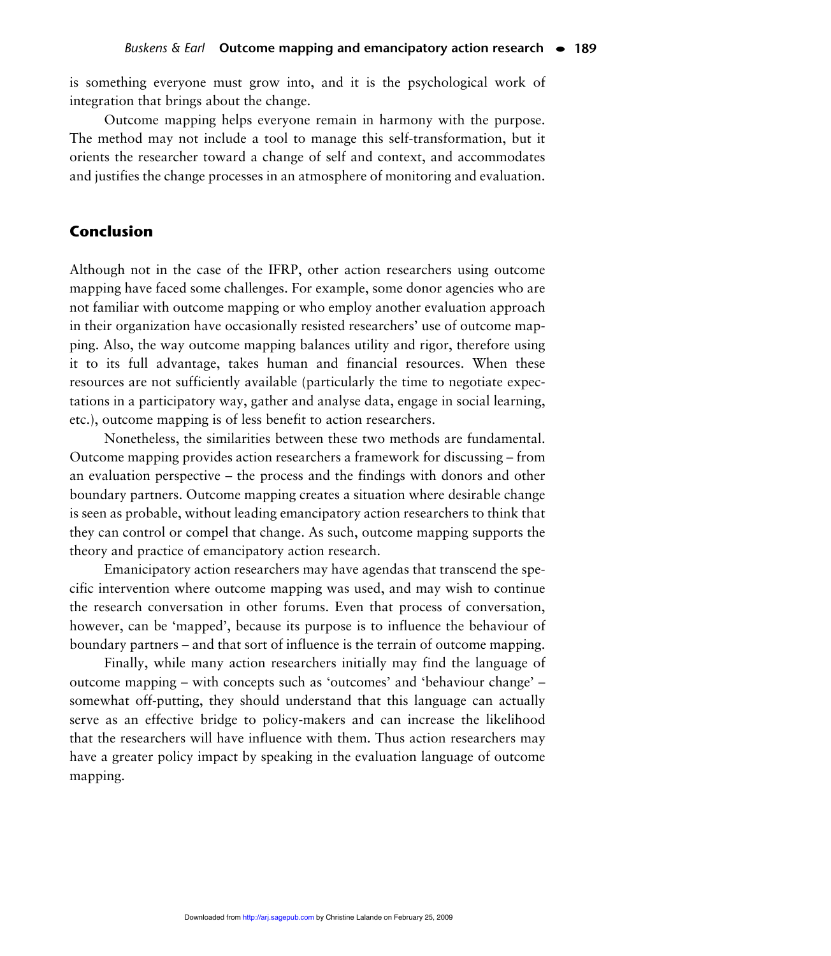is something everyone must grow into, and it is the psychological work of integration that brings about the change.

Outcome mapping helps everyone remain in harmony with the purpose. The method may not include a tool to manage this self-transformation, but it orients the researcher toward a change of self and context, and accommodates and justifies the change processes in an atmosphere of monitoring and evaluation.

# **Conclusion**

Although not in the case of the IFRP, other action researchers using outcome mapping have faced some challenges. For example, some donor agencies who are not familiar with outcome mapping or who employ another evaluation approach in their organization have occasionally resisted researchers' use of outcome mapping. Also, the way outcome mapping balances utility and rigor, therefore using it to its full advantage, takes human and financial resources. When these resources are not sufficiently available (particularly the time to negotiate expectations in a participatory way, gather and analyse data, engage in social learning, etc.), outcome mapping is of less benefit to action researchers.

Nonetheless, the similarities between these two methods are fundamental. Outcome mapping provides action researchers a framework for discussing – from an evaluation perspective – the process and the findings with donors and other boundary partners. Outcome mapping creates a situation where desirable change is seen as probable, without leading emancipatory action researchers to think that they can control or compel that change. As such, outcome mapping supports the theory and practice of emancipatory action research.

Emanicipatory action researchers may have agendas that transcend the specific intervention where outcome mapping was used, and may wish to continue the research conversation in other forums. Even that process of conversation, however, can be 'mapped', because its purpose is to influence the behaviour of boundary partners – and that sort of influence is the terrain of outcome mapping.

Finally, while many action researchers initially may find the language of outcome mapping – with concepts such as 'outcomes' and 'behaviour change' – somewhat off-putting, they should understand that this language can actually serve as an effective bridge to policy-makers and can increase the likelihood that the researchers will have influence with them. Thus action researchers may have a greater policy impact by speaking in the evaluation language of outcome mapping.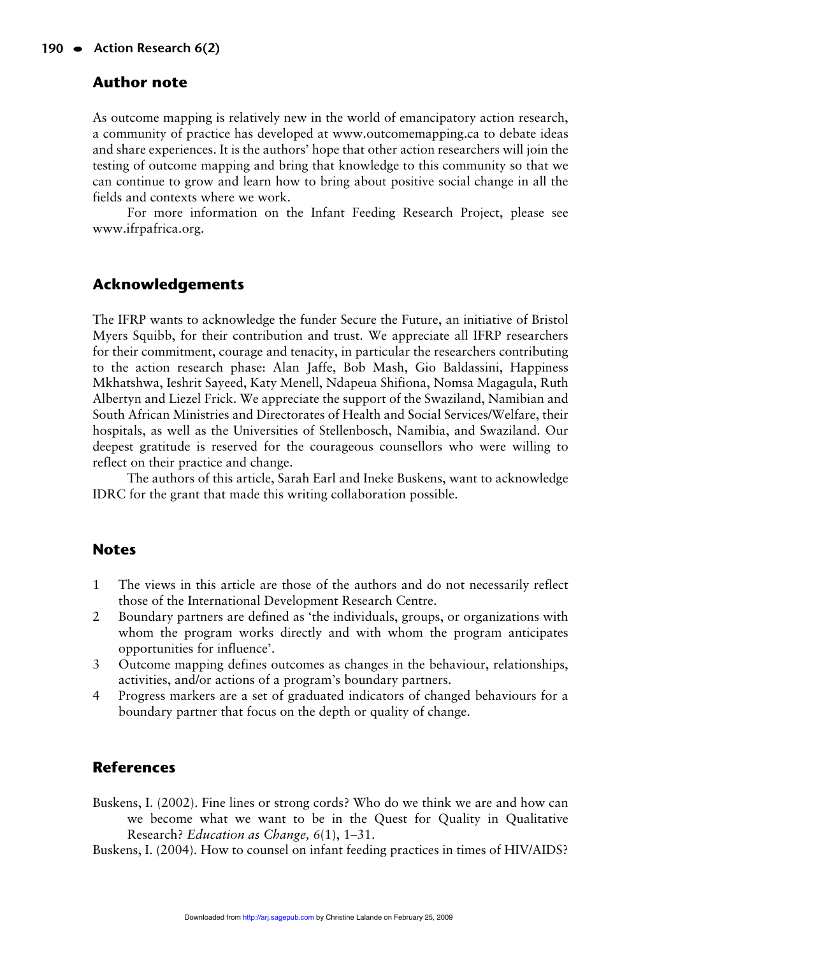# **Author note**

As outcome mapping is relatively new in the world of emancipatory action research, a community of practice has developed at www.outcomemapping.ca to debate ideas and share experiences. It is the authors' hope that other action researchers will join the testing of outcome mapping and bring that knowledge to this community so that we can continue to grow and learn how to bring about positive social change in all the fields and contexts where we work.

For more information on the Infant Feeding Research Project, please see www.ifrpafrica.org.

# **Acknowledgements**

The IFRP wants to acknowledge the funder Secure the Future, an initiative of Bristol Myers Squibb, for their contribution and trust. We appreciate all IFRP researchers for their commitment, courage and tenacity, in particular the researchers contributing to the action research phase: Alan Jaffe, Bob Mash, Gio Baldassini, Happiness Mkhatshwa, Ieshrit Sayeed, Katy Menell, Ndapeua Shifiona, Nomsa Magagula, Ruth Albertyn and Liezel Frick. We appreciate the support of the Swaziland, Namibian and South African Ministries and Directorates of Health and Social Services/Welfare, their hospitals, as well as the Universities of Stellenbosch, Namibia, and Swaziland. Our deepest gratitude is reserved for the courageous counsellors who were willing to reflect on their practice and change.

The authors of this article, Sarah Earl and Ineke Buskens, want to acknowledge IDRC for the grant that made this writing collaboration possible.

#### **Notes**

- 1 The views in this article are those of the authors and do not necessarily reflect those of the International Development Research Centre.
- 2 Boundary partners are defined as 'the individuals, groups, or organizations with whom the program works directly and with whom the program anticipates opportunities for influence'.
- 3 Outcome mapping defines outcomes as changes in the behaviour, relationships, activities, and/or actions of a program's boundary partners.
- 4 Progress markers are a set of graduated indicators of changed behaviours for a boundary partner that focus on the depth or quality of change.

# **References**

Buskens, I. (2002). Fine lines or strong cords? Who do we think we are and how can we become what we want to be in the Quest for Quality in Qualitative Research? *Education as Change, 6*(1), 1–31.

Buskens, I. (2004). How to counsel on infant feeding practices in times of HIV/AIDS?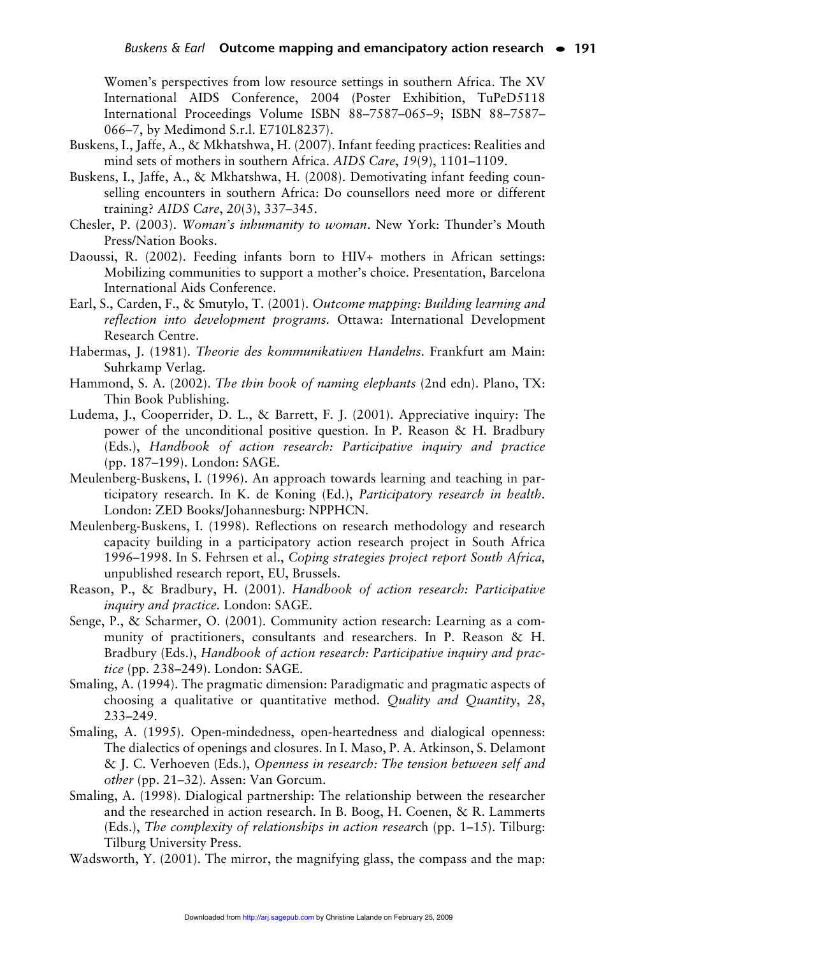Women's perspectives from low resource settings in southern Africa. The XV International AIDS Conference, 2004 (Poster Exhibition, TuPeD5118 International Proceedings Volume ISBN 88–7587–065–9; ISBN 88–7587– 066–7, by Medimond S.r.l. E710L8237).

- Buskens, I., Jaffe, A., & Mkhatshwa, H. (2007). Infant feeding practices: Realities and mind sets of mothers in southern Africa. *AIDS Care*, *19*(9), 1101–1109.
- Buskens, I., Jaffe, A., & Mkhatshwa, H. (2008). Demotivating infant feeding counselling encounters in southern Africa: Do counsellors need more or different training? *AIDS Care*, *20*(3), 337–345.
- Chesler, P. (2003). *Woman's inhumanity to woman*. New York: Thunder's Mouth Press/Nation Books.
- Daoussi, R. (2002). Feeding infants born to HIV+ mothers in African settings: Mobilizing communities to support a mother's choice. Presentation, Barcelona International Aids Conference.
- Earl, S., Carden, F., & Smutylo, T. (2001). *Outcome mapping: Building learning and reflection into development programs.* Ottawa: International Development Research Centre.
- Habermas, J. (1981). *Theorie des kommunikativen Handelns*. Frankfurt am Main: Suhrkamp Verlag.
- Hammond, S. A. (2002). *The thin book of naming elephants* (2nd edn). Plano, TX: Thin Book Publishing.
- Ludema, J., Cooperrider, D. L., & Barrett, F. J. (2001). Appreciative inquiry: The power of the unconditional positive question. In P. Reason & H. Bradbury (Eds.), *Handbook of action research: Participative inquiry and practice* (pp. 187–199). London: SAGE.
- Meulenberg-Buskens, I. (1996). An approach towards learning and teaching in participatory research. In K. de Koning (Ed.), *Participatory research in health.* London: ZED Books/Johannesburg: NPPHCN.
- Meulenberg-Buskens, I. (1998). Reflections on research methodology and research capacity building in a participatory action research project in South Africa 1996–1998. In S. Fehrsen et al., *Coping strategies project report South Africa,* unpublished research report, EU, Brussels.
- Reason, P., & Bradbury, H. (2001). *Handbook of action research: Participative inquiry and practice.* London: SAGE.
- Senge, P., & Scharmer, O. (2001). Community action research: Learning as a community of practitioners, consultants and researchers. In P. Reason & H. Bradbury (Eds.), *Handbook of action research: Participative inquiry and practice* (pp. 238–249). London: SAGE.
- Smaling, A. (1994). The pragmatic dimension: Paradigmatic and pragmatic aspects of choosing a qualitative or quantitative method. *Quality and Quantity*, *28*, 233–249.
- Smaling, A. (1995). Open-mindedness, open-heartedness and dialogical openness: The dialectics of openings and closures. In I. Maso, P. A. Atkinson, S. Delamont & J. C. Verhoeven (Eds.), *Openness in research: The tension between self and other* (pp. 21–32)*.* Assen: Van Gorcum.
- Smaling, A. (1998). Dialogical partnership: The relationship between the researcher and the researched in action research. In B. Boog, H. Coenen, & R. Lammerts (Eds.), *The complexity of relationships in action resear*ch (pp. 1–15). Tilburg: Tilburg University Press.

Wadsworth, Y. (2001). The mirror, the magnifying glass, the compass and the map: